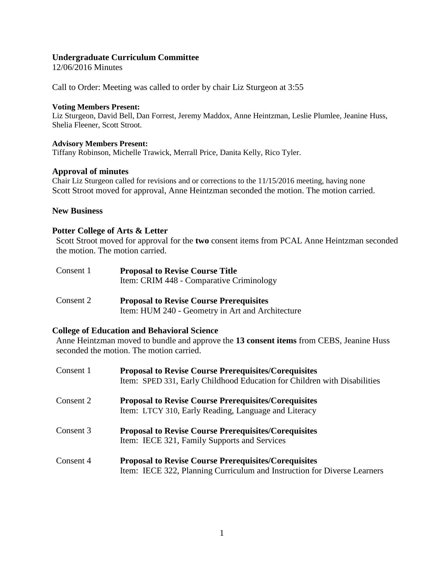# **Undergraduate Curriculum Committee**

12/06/2016 Minutes

Call to Order: Meeting was called to order by chair Liz Sturgeon at 3:55

### **Voting Members Present:**

Liz Sturgeon, David Bell, Dan Forrest, Jeremy Maddox, Anne Heintzman, Leslie Plumlee, Jeanine Huss, Shelia Fleener, Scott Stroot.

## **Advisory Members Present:**

Tiffany Robinson, Michelle Trawick, Merrall Price, Danita Kelly, Rico Tyler.

## **Approval of minutes**

Chair Liz Sturgeon called for revisions and or corrections to the 11/15/2016 meeting, having none Scott Stroot moved for approval, Anne Heintzman seconded the motion. The motion carried.

## **New Business**

## **Potter College of Arts & Letter**

Scott Stroot moved for approval for the **two** consent items from PCAL Anne Heintzman seconded the motion. The motion carried.

| Consent 1 | <b>Proposal to Revise Course Title</b><br>Item: CRIM 448 - Comparative Criminology |
|-----------|------------------------------------------------------------------------------------|
| Consent 2 | <b>Proposal to Revise Course Prerequisites</b>                                     |

Item: HUM 240 - Geometry in Art and Architecture

## **College of Education and Behavioral Science**

Anne Heintzman moved to bundle and approve the **13 consent items** from CEBS, Jeanine Huss seconded the motion. The motion carried.

| Consent 1 | <b>Proposal to Revise Course Prerequisites/Corequisites</b><br>Item: SPED 331, Early Childhood Education for Children with Disabilities |
|-----------|-----------------------------------------------------------------------------------------------------------------------------------------|
| Consent 2 | <b>Proposal to Revise Course Prerequisites/Corequisites</b><br>Item: LTCY 310, Early Reading, Language and Literacy                     |
| Consent 3 | <b>Proposal to Revise Course Prerequisites/Corequisites</b><br>Item: IECE 321, Family Supports and Services                             |
| Consent 4 | <b>Proposal to Revise Course Prerequisites/Corequisites</b><br>Item: IECE 322, Planning Curriculum and Instruction for Diverse Learners |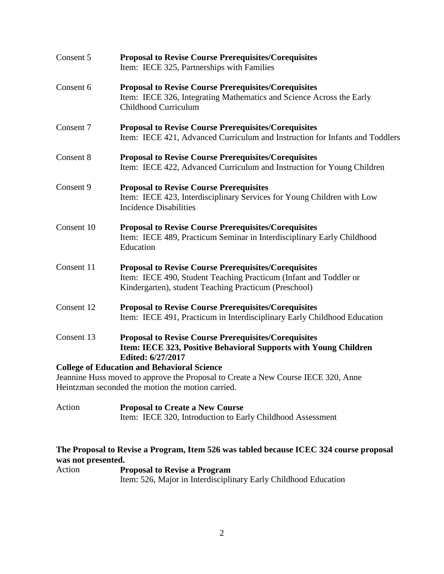| Consent 5  | <b>Proposal to Revise Course Prerequisites/Corequisites</b><br>Item: IECE 325, Partnerships with Families                                                                                 |
|------------|-------------------------------------------------------------------------------------------------------------------------------------------------------------------------------------------|
| Consent 6  | <b>Proposal to Revise Course Prerequisites/Corequisites</b><br>Item: IECE 326, Integrating Mathematics and Science Across the Early<br>Childhood Curriculum                               |
| Consent 7  | <b>Proposal to Revise Course Prerequisites/Corequisites</b><br>Item: IECE 421, Advanced Curriculum and Instruction for Infants and Toddlers                                               |
| Consent 8  | <b>Proposal to Revise Course Prerequisites/Corequisites</b><br>Item: IECE 422, Advanced Curriculum and Instruction for Young Children                                                     |
| Consent 9  | <b>Proposal to Revise Course Prerequisites</b><br>Item: IECE 423, Interdisciplinary Services for Young Children with Low<br><b>Incidence Disabilities</b>                                 |
| Consent 10 | <b>Proposal to Revise Course Prerequisites/Corequisites</b><br>Item: IECE 489, Practicum Seminar in Interdisciplinary Early Childhood<br>Education                                        |
| Consent 11 | <b>Proposal to Revise Course Prerequisites/Corequisites</b><br>Item: IECE 490, Student Teaching Practicum (Infant and Toddler or<br>Kindergarten), student Teaching Practicum (Preschool) |
| Consent 12 | <b>Proposal to Revise Course Prerequisites/Corequisites</b><br>Item: IECE 491, Practicum in Interdisciplinary Early Childhood Education                                                   |
| Consent 13 | <b>Proposal to Revise Course Prerequisites/Corequisites</b><br>Item: IECE 323, Positive Behavioral Supports with Young Children<br>Edited: 6/27/2017                                      |
|            | <b>College of Education and Behavioral Science</b>                                                                                                                                        |
|            | Jeannine Huss moved to approve the Proposal to Create a New Course IECE 320, Anne                                                                                                         |
|            | Heintzman seconded the motion the motion carried.                                                                                                                                         |

Action **Proposal to Create a New Course** Item: IECE 320, Introduction to Early Childhood Assessment

# **The Proposal to Revise a Program, Item 526 was tabled because ICEC 324 course proposal was not presented.**

Action **Proposal to Revise a Program** Item: 526, Major in Interdisciplinary Early Childhood Education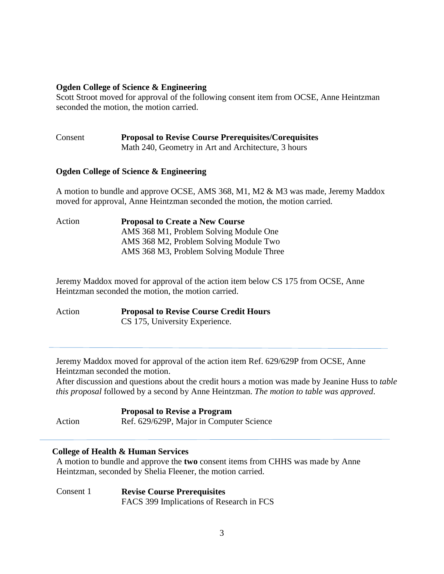## **Ogden College of Science & Engineering**

Scott Stroot moved for approval of the following consent item from OCSE, Anne Heintzman seconded the motion, the motion carried.

Consent **Proposal to Revise Course Prerequisites/Corequisites** Math 240, Geometry in Art and Architecture, 3 hours

# **Ogden College of Science & Engineering**

A motion to bundle and approve OCSE, AMS 368, M1, M2 & M3 was made, Jeremy Maddox moved for approval, Anne Heintzman seconded the motion, the motion carried.

Action **Proposal to Create a New Course** AMS 368 M1, Problem Solving Module One AMS 368 M2, Problem Solving Module Two AMS 368 M3, Problem Solving Module Three

Jeremy Maddox moved for approval of the action item below CS 175 from OCSE, Anne Heintzman seconded the motion, the motion carried.

Action **Proposal to Revise Course Credit Hours** CS 175, University Experience.

Jeremy Maddox moved for approval of the action item Ref. 629/629P from OCSE, Anne Heintzman seconded the motion.

After discussion and questions about the credit hours a motion was made by Jeanine Huss to *table this proposal* followed by a second by Anne Heintzman. *The motion to table was approved*.

#### Action **Proposal to Revise a Program** Ref. 629/629P, Major in Computer Science

## **College of Health & Human Services**

A motion to bundle and approve the **two** consent items from CHHS was made by Anne Heintzman, seconded by Shelia Fleener, the motion carried.

Consent 1 **Revise Course Prerequisites** FACS 399 Implications of Research in FCS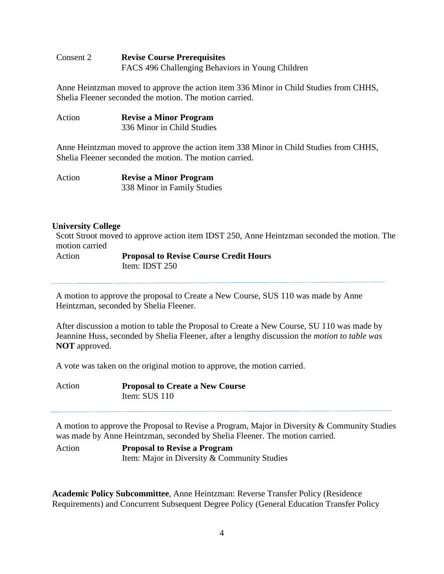# Consent 2 **Revise Course Prerequisites** FACS 496 Challenging Behaviors in Young Children

Anne Heintzman moved to approve the action item 336 Minor in Child Studies from CHHS, Shelia Fleener seconded the motion. The motion carried.

Action **Revise a Minor Program** 336 Minor in Child Studies

Anne Heintzman moved to approve the action item 338 Minor in Child Studies from CHHS, Shelia Fleener seconded the motion. The motion carried.

| Action | <b>Revise a Minor Program</b> |
|--------|-------------------------------|
|        | 338 Minor in Family Studies   |

# **University College**

Scott Stroot moved to approve action item IDST 250, Anne Heintzman seconded the motion. The motion carried

Action **Proposal to Revise Course Credit Hours** Item: IDST 250

A motion to approve the proposal to Create a New Course, SUS 110 was made by Anne Heintzman, seconded by Shelia Fleener.

After discussion a motion to table the Proposal to Create a New Course, SU 110 was made by Jeannine Huss, seconded by Shelia Fleener, after a lengthy discussion the *motion to table was* **NOT** approved.

A vote was taken on the original motion to approve, the motion carried.

| Action | <b>Proposal to Create a New Course</b> |
|--------|----------------------------------------|
|        | Item: $SUS$ 110                        |

A motion to approve the Proposal to Revise a Program, Major in Diversity & Community Studies was made by Anne Heintzman, seconded by Shelia Fleener. The motion carried.

Action **Proposal to Revise a Program**  Item: Major in Diversity & Community Studies

**Academic Policy Subcommittee**, Anne Heintzman: Reverse Transfer Policy (Residence Requirements) and Concurrent Subsequent Degree Policy (General Education Transfer Policy